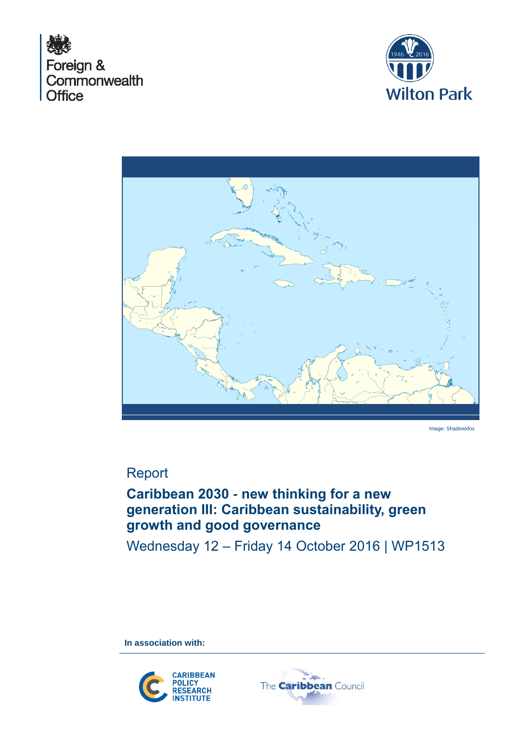





Image: Shadowxfox

# Report

# **Caribbean 2030 - new thinking for a new generation III: Caribbean sustainability, green growth and good governance**

Wednesday 12 – Friday 14 October 2016 | WP1513

**In association with:**



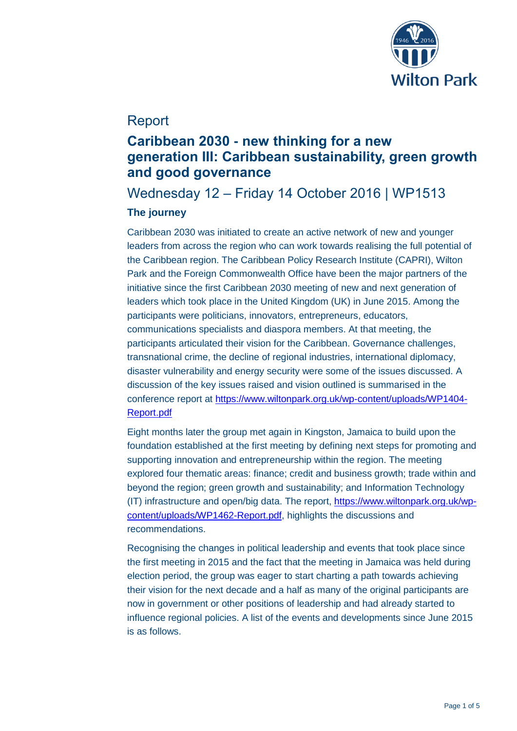

## Report

## **Caribbean 2030 - new thinking for a new generation III: Caribbean sustainability, green growth and good governance**

Wednesday 12 – Friday 14 October 2016 | WP1513

## **The journey**

Caribbean 2030 was initiated to create an active network of new and younger leaders from across the region who can work towards realising the full potential of the Caribbean region. The Caribbean Policy Research Institute (CAPRI), Wilton Park and the Foreign Commonwealth Office have been the major partners of the initiative since the first Caribbean 2030 meeting of new and next generation of leaders which took place in the United Kingdom (UK) in June 2015. Among the participants were politicians, innovators, entrepreneurs, educators, communications specialists and diaspora members. At that meeting, the participants articulated their vision for the Caribbean. Governance challenges, transnational crime, the decline of regional industries, international diplomacy, disaster vulnerability and energy security were some of the issues discussed. A discussion of the key issues raised and vision outlined is summarised in the conference report at [https://www.wiltonpark.org.uk/wp-content/uploads/WP1404-](https://www.wiltonpark.org.uk/wp-content/uploads/WP1404-Report.pdf) [Report.pdf](https://www.wiltonpark.org.uk/wp-content/uploads/WP1404-Report.pdf)

Eight months later the group met again in Kingston, Jamaica to build upon the foundation established at the first meeting by defining next steps for promoting and supporting innovation and entrepreneurship within the region. The meeting explored four thematic areas: finance; credit and business growth; trade within and beyond the region; green growth and sustainability; and Information Technology (IT) infrastructure and open/big data. The report, [https://www.wiltonpark.org.uk/wp](https://www.wiltonpark.org.uk/wp-content/uploads/WP1462-Report.pdf)[content/uploads/WP1462-Report.pdf,](https://www.wiltonpark.org.uk/wp-content/uploads/WP1462-Report.pdf) highlights the discussions and recommendations.

Recognising the changes in political leadership and events that took place since the first meeting in 2015 and the fact that the meeting in Jamaica was held during election period, the group was eager to start charting a path towards achieving their vision for the next decade and a half as many of the original participants are now in government or other positions of leadership and had already started to influence regional policies. A list of the events and developments since June 2015 is as follows.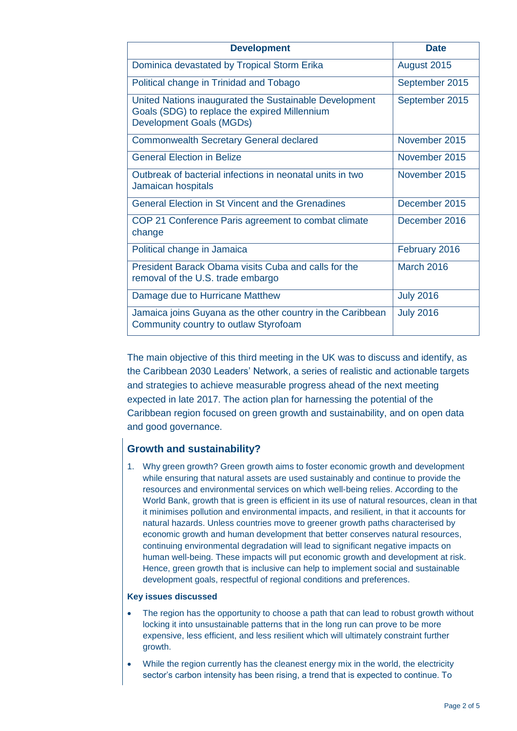| <b>Development</b>                                                                                                                         | <b>Date</b>       |
|--------------------------------------------------------------------------------------------------------------------------------------------|-------------------|
| Dominica devastated by Tropical Storm Erika                                                                                                | August 2015       |
| Political change in Trinidad and Tobago                                                                                                    | September 2015    |
| United Nations inaugurated the Sustainable Development<br>Goals (SDG) to replace the expired Millennium<br><b>Development Goals (MGDs)</b> | September 2015    |
| <b>Commonwealth Secretary General declared</b>                                                                                             | November 2015     |
| <b>General Election in Belize</b>                                                                                                          | November 2015     |
| Outbreak of bacterial infections in neonatal units in two<br>Jamaican hospitals                                                            | November 2015     |
| <b>General Election in St Vincent and the Grenadines</b>                                                                                   | December 2015     |
| COP 21 Conference Paris agreement to combat climate<br>change                                                                              | December 2016     |
| Political change in Jamaica                                                                                                                | February 2016     |
| President Barack Obama visits Cuba and calls for the<br>removal of the U.S. trade embargo                                                  | <b>March 2016</b> |
| Damage due to Hurricane Matthew                                                                                                            | <b>July 2016</b>  |
| Jamaica joins Guyana as the other country in the Caribbean<br>Community country to outlaw Styrofoam                                        | <b>July 2016</b>  |

The main objective of this third meeting in the UK was to discuss and identify, as the Caribbean 2030 Leaders' Network, a series of realistic and actionable targets and strategies to achieve measurable progress ahead of the next meeting expected in late 2017. The action plan for harnessing the potential of the Caribbean region focused on green growth and sustainability, and on open data and good governance.

## **Growth and sustainability?**

1. Why green growth? Green growth aims to foster economic growth and development while ensuring that natural assets are used sustainably and continue to provide the resources and environmental services on which well-being relies. According to the World Bank, growth that is green is efficient in its use of natural resources, clean in that it minimises pollution and environmental impacts, and resilient, in that it accounts for natural hazards. Unless countries move to greener growth paths characterised by economic growth and human development that better conserves natural resources, continuing environmental degradation will lead to significant negative impacts on human well-being. These impacts will put economic growth and development at risk. Hence, green growth that is inclusive can help to implement social and sustainable development goals, respectful of regional conditions and preferences.

## **Key issues discussed**

- The region has the opportunity to choose a path that can lead to robust growth without locking it into unsustainable patterns that in the long run can prove to be more expensive, less efficient, and less resilient which will ultimately constraint further growth.
- While the region currently has the cleanest energy mix in the world, the electricity sector's carbon intensity has been rising, a trend that is expected to continue. To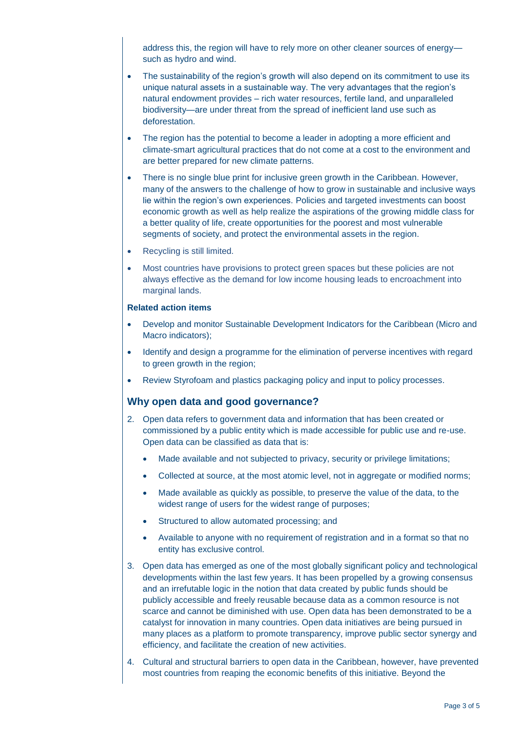address this, the region will have to rely more on other cleaner sources of energy such as hydro and wind.

- The sustainability of the region's growth will also depend on its commitment to use its unique natural assets in a sustainable way. The very advantages that the region's natural endowment provides – rich water resources, fertile land, and unparalleled biodiversity—are under threat from the spread of inefficient land use such as deforestation.
- The region has the potential to become a leader in adopting a more efficient and climate-smart agricultural practices that do not come at a cost to the environment and are better prepared for new climate patterns.
- There is no single blue print for inclusive green growth in the Caribbean. However, many of the answers to the challenge of how to grow in sustainable and inclusive ways lie within the region's own experiences. Policies and targeted investments can boost economic growth as well as help realize the aspirations of the growing middle class for a better quality of life, create opportunities for the poorest and most vulnerable segments of society, and protect the environmental assets in the region.
- Recycling is still limited.
- Most countries have provisions to protect green spaces but these policies are not always effective as the demand for low income housing leads to encroachment into marginal lands.

#### **Related action items**

- Develop and monitor Sustainable Development Indicators for the Caribbean (Micro and Macro indicators);
- Identify and design a programme for the elimination of perverse incentives with regard to green growth in the region;
- Review Styrofoam and plastics packaging policy and input to policy processes.

## **Why open data and good governance?**

- 2. Open data refers to government data and information that has been created or commissioned by a public entity which is made accessible for public use and re-use. Open data can be classified as data that is:
	- Made available and not subjected to privacy, security or privilege limitations;
	- Collected at source, at the most atomic level, not in aggregate or modified norms;
	- Made available as quickly as possible, to preserve the value of the data, to the widest range of users for the widest range of purposes;
	- Structured to allow automated processing; and
	- Available to anyone with no requirement of registration and in a format so that no entity has exclusive control.
- 3. Open data has emerged as one of the most globally significant policy and technological developments within the last few years. It has been propelled by a growing consensus and an irrefutable logic in the notion that data created by public funds should be publicly accessible and freely reusable because data as a common resource is not scarce and cannot be diminished with use. Open data has been demonstrated to be a catalyst for innovation in many countries. Open data initiatives are being pursued in many places as a platform to promote transparency, improve public sector synergy and efficiency, and facilitate the creation of new activities.
- 4. Cultural and structural barriers to open data in the Caribbean, however, have prevented most countries from reaping the economic benefits of this initiative. Beyond the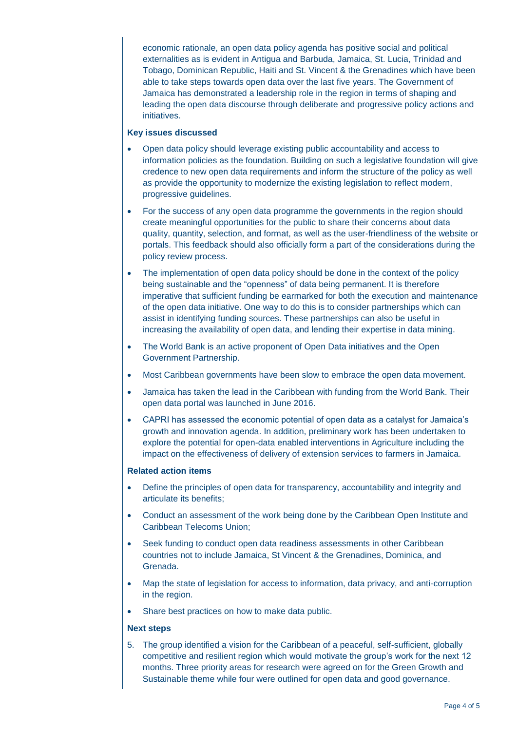economic rationale, an open data policy agenda has positive social and political externalities as is evident in Antigua and Barbuda, Jamaica, St. Lucia, Trinidad and Tobago, Dominican Republic, Haiti and St. Vincent & the Grenadines which have been able to take steps towards open data over the last five years. The Government of Jamaica has demonstrated a leadership role in the region in terms of shaping and leading the open data discourse through deliberate and progressive policy actions and initiatives.

### **Key issues discussed**

- Open data policy should leverage existing public accountability and access to information policies as the foundation. Building on such a legislative foundation will give credence to new open data requirements and inform the structure of the policy as well as provide the opportunity to modernize the existing legislation to reflect modern, progressive guidelines.
- For the success of any open data programme the governments in the region should create meaningful opportunities for the public to share their concerns about data quality, quantity, selection, and format, as well as the user-friendliness of the website or portals. This feedback should also officially form a part of the considerations during the policy review process.
- The implementation of open data policy should be done in the context of the policy being sustainable and the "openness" of data being permanent. It is therefore imperative that sufficient funding be earmarked for both the execution and maintenance of the open data initiative. One way to do this is to consider partnerships which can assist in identifying funding sources. These partnerships can also be useful in increasing the availability of open data, and lending their expertise in data mining.
- The World Bank is an active proponent of Open Data initiatives and the Open Government Partnership.
- Most Caribbean governments have been slow to embrace the open data movement.
- Jamaica has taken the lead in the Caribbean with funding from the World Bank. Their open data portal was launched in June 2016.
- CAPRI has assessed the economic potential of open data as a catalyst for Jamaica's growth and innovation agenda. In addition, preliminary work has been undertaken to explore the potential for open-data enabled interventions in Agriculture including the impact on the effectiveness of delivery of extension services to farmers in Jamaica.

### **Related action items**

- Define the principles of open data for transparency, accountability and integrity and articulate its benefits;
- Conduct an assessment of the work being done by the Caribbean Open Institute and Caribbean Telecoms Union;
- Seek funding to conduct open data readiness assessments in other Caribbean countries not to include Jamaica, St Vincent & the Grenadines, Dominica, and Grenada.
- Map the state of legislation for access to information, data privacy, and anti-corruption in the region.
- Share best practices on how to make data public.

### **Next steps**

5. The group identified a vision for the Caribbean of a peaceful, self-sufficient, globally competitive and resilient region which would motivate the group's work for the next 12 months. Three priority areas for research were agreed on for the Green Growth and Sustainable theme while four were outlined for open data and good governance.